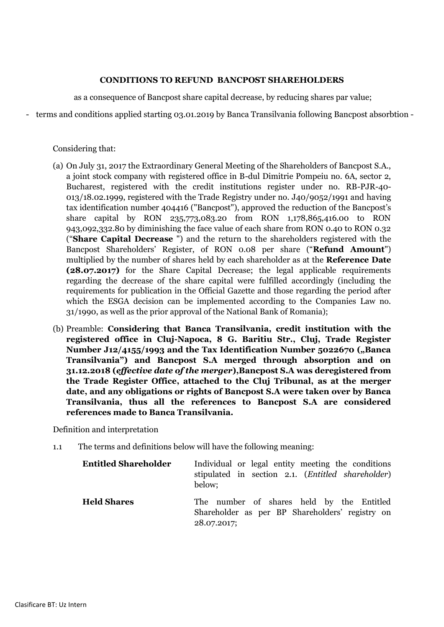## **CONDITIONS TO REFUND BANCPOST SHAREHOLDERS**

as a consequence of Bancpost share capital decrease, by reducing shares par value;

- terms and conditions applied starting 03.01.2019 by Banca Transilvania following Bancpost absorbtion -

### Considering that:

- (a) On July 31, 2017 the Extraordinary General Meeting of the Shareholders of Bancpost S.A., a joint stock company with registered office in B-dul Dimitrie Pompeiu no. 6A, sector 2, Bucharest, registered with the credit institutions register under no. RB-PJR-40- 013/18.02.1999, registered with the Trade Registry under no. J40/9052/1991 and having tax identification number 404416 ("Bancpost"), approved the reduction of the Bancpost's share capital by RON 235,773,083.20 from RON 1,178,865,416.00 to RON 943,092,332.80 by diminishing the face value of each share from RON 0.40 to RON 0.32 ("**Share Capital Decrease** ") and the return to the shareholders registered with the Bancpost Shareholders' Register, of RON 0.08 per share ("**Refund Amount**") multiplied by the number of shares held by each shareholder as at the **Reference Date (28.07.2017)** for the Share Capital Decrease; the legal applicable requirements regarding the decrease of the share capital were fulfilled accordingly (including the requirements for publication in the Official Gazette and those regarding the period after which the ESGA decision can be implemented according to the Companies Law no. 31/1990, as well as the prior approval of the National Bank of Romania);
- (b) Preamble: **Considering that Banca Transilvania, credit institution with the registered office in Cluj-Napoca, 8 G. Baritiu Str., Cluj, Trade Register**  Number J12/4155/1993 and the Tax Identification Number 5022670 ("Banca **Transilvania") and Bancpost S.A merged through absorption and on 31.12.2018 (***effective date of the merger***),Bancpost S.A was deregistered from the Trade Register Office, attached to the Cluj Tribunal, as at the merger date, and any obligations or rights of Bancpost S.A were taken over by Banca Transilvania, thus all the references to Bancpost S.A are considered references made to Banca Transilvania.**

Definition and interpretation

1.1 The terms and definitions below will have the following meaning:

| <b>Entitled Shareholder</b> | Individual or legal entity meeting the conditions<br>stipulated in section 2.1. ( <i>Entitled shareholder</i> )<br>below; |
|-----------------------------|---------------------------------------------------------------------------------------------------------------------------|
| <b>Held Shares</b>          | The number of shares held by the Entitled<br>Shareholder as per BP Shareholders' registry on<br>28.07.2017;               |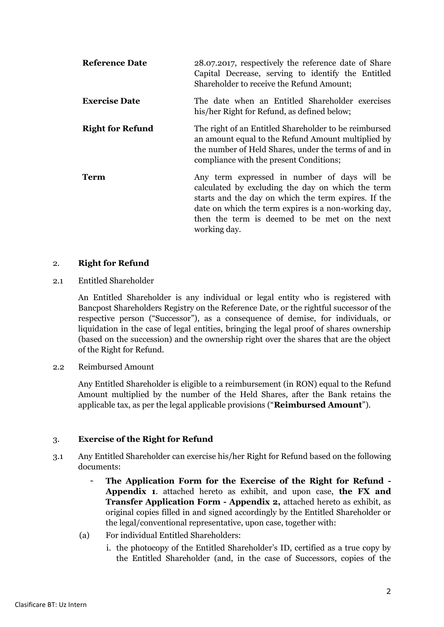| <b>Reference Date</b>   | 28.07.2017, respectively the reference date of Share<br>Capital Decrease, serving to identify the Entitled<br>Shareholder to receive the Refund Amount;                                                                                                                            |
|-------------------------|------------------------------------------------------------------------------------------------------------------------------------------------------------------------------------------------------------------------------------------------------------------------------------|
| <b>Exercise Date</b>    | The date when an Entitled Shareholder exercises<br>his/her Right for Refund, as defined below;                                                                                                                                                                                     |
| <b>Right for Refund</b> | The right of an Entitled Shareholder to be reimbursed<br>an amount equal to the Refund Amount multiplied by<br>the number of Held Shares, under the terms of and in<br>compliance with the present Conditions;                                                                     |
| <b>Term</b>             | Any term expressed in number of days will be<br>calculated by excluding the day on which the term<br>starts and the day on which the term expires. If the<br>date on which the term expires is a non-working day,<br>then the term is deemed to be met on the next<br>working day. |

### 2. **Right for Refund**

2.1 Entitled Shareholder

An Entitled Shareholder is any individual or legal entity who is registered with Bancpost Shareholders Registry on the Reference Date, or the rightful successor of the respective person ("Successor"), as a consequence of demise, for individuals, or liquidation in the case of legal entities, bringing the legal proof of shares ownership (based on the succession) and the ownership right over the shares that are the object of the Right for Refund.

2.2 Reimbursed Amount

Any Entitled Shareholder is eligible to a reimbursement (in RON) equal to the Refund Amount multiplied by the number of the Held Shares, after the Bank retains the applicable tax, as per the legal applicable provisions ("**Reimbursed Amount**").

# 3. **Exercise of the Right for Refund**

- 3.1 Any Entitled Shareholder can exercise his/her Right for Refund based on the following documents:
	- **The Application Form for the Exercise of the Right for Refund - Appendix 1**. attached hereto as exhibit, and upon case, **the FX and Transfer Application Form - Appendix 2,** attached hereto as exhibit, as original copies filled in and signed accordingly by the Entitled Shareholder or the legal/conventional representative, upon case, together with:
	- (a) For individual Entitled Shareholders:
		- i. the photocopy of the Entitled Shareholder's ID, certified as a true copy by the Entitled Shareholder (and, in the case of Successors, copies of the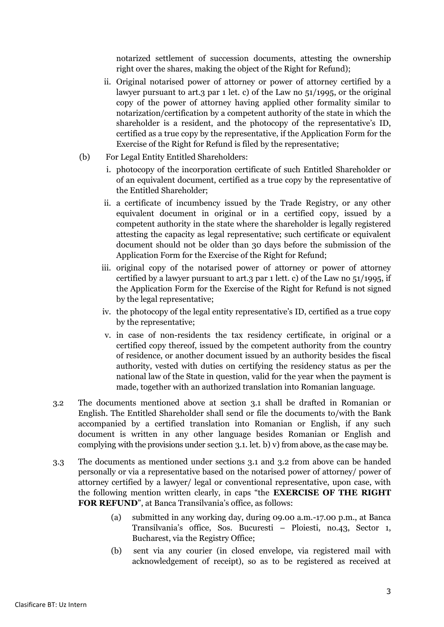notarized settlement of succession documents, attesting the ownership right over the shares, making the object of the Right for Refund);

- ii. Original notarised power of attorney or power of attorney certified by a lawyer pursuant to art.3 par 1 let. c) of the Law no 51/1995, or the original copy of the power of attorney having applied other formality similar to notarization/certification by a competent authority of the state in which the shareholder is a resident, and the photocopy of the representative's ID, certified as a true copy by the representative, if the Application Form for the Exercise of the Right for Refund is filed by the representative;
- (b) For Legal Entity Entitled Shareholders:
	- i. photocopy of the incorporation certificate of such Entitled Shareholder or of an equivalent document, certified as a true copy by the representative of the Entitled Shareholder;
	- ii. a certificate of incumbency issued by the Trade Registry, or any other equivalent document in original or in a certified copy, issued by a competent authority in the state where the shareholder is legally registered attesting the capacity as legal representative; such certificate or equivalent document should not be older than 30 days before the submission of the Application Form for the Exercise of the Right for Refund;
	- iii. original copy of the notarised power of attorney or power of attorney certified by a lawyer pursuant to art.3 par 1 lett. c) of the Law no 51/1995, if the Application Form for the Exercise of the Right for Refund is not signed by the legal representative;
	- iv. the photocopy of the legal entity representative's ID, certified as a true copy by the representative;
	- v. in case of non-residents the tax residency certificate, in original or a certified copy thereof, issued by the competent authority from the country of residence, or another document issued by an authority besides the fiscal authority, vested with duties on certifying the residency status as per the national law of the State in question, valid for the year when the payment is made, together with an authorized translation into Romanian language.
- 3.2 The documents mentioned above at section 3.1 shall be drafted in Romanian or English. The Entitled Shareholder shall send or file the documents to/with the Bank accompanied by a certified translation into Romanian or English, if any such document is written in any other language besides Romanian or English and complying with the provisions under section 3.1. let. b) v) from above, as the case may be.
- 3.3 The documents as mentioned under sections 3.1 and 3.2 from above can be handed personally or via a representative based on the notarised power of attorney/ power of attorney certified by a lawyer/ legal or conventional representative, upon case, with the following mention written clearly, in caps "the **EXERCISE OF THE RIGHT FOR REFUND**", at Banca Transilvania's office, as follows:
	- (a) submitted in any working day, during 09.00 a.m.-17.00 p.m., at Banca Transilvania's office, Sos. Bucuresti – Ploiesti, no.43, Sector 1, Bucharest, via the Registry Office;
	- (b) sent via any courier (in closed envelope, via registered mail with acknowledgement of receipt), so as to be registered as received at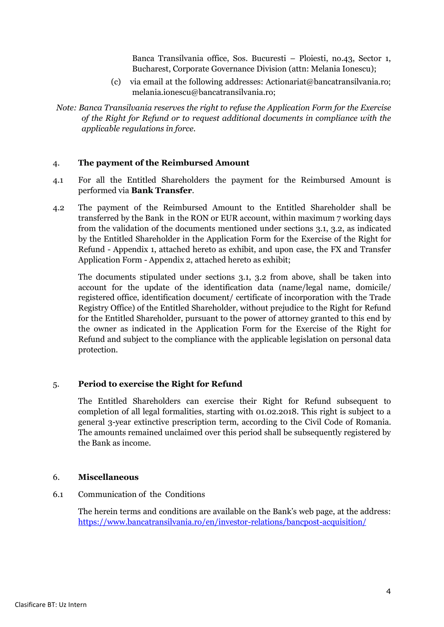Banca Transilvania office, Sos. Bucuresti – Ploiesti, no.43, Sector 1, Bucharest, Corporate Governance Division (attn: Melania Ionescu);

(c) via email at the following addresses: Actionariat@bancatransilvania.ro; melania.ionescu@bancatransilvania.ro;

*Note: Banca Transilvania reserves the right to refuse the Application Form for the Exercise of the Right for Refund or to request additional documents in compliance with the applicable regulations in force.* 

# 4. **The payment of the Reimbursed Amount**

- 4.1 For all the Entitled Shareholders the payment for the Reimbursed Amount is performed via **Bank Transfer**.
- 4.2 The payment of the Reimbursed Amount to the Entitled Shareholder shall be transferred by the Bank in the RON or EUR account, within maximum 7 working days from the validation of the documents mentioned under sections 3.1, 3.2, as indicated by the Entitled Shareholder in the Application Form for the Exercise of the Right for Refund - Appendix 1, attached hereto as exhibit, and upon case, the FX and Transfer Application Form - Appendix 2, attached hereto as exhibit;

The documents stipulated under sections 3.1, 3.2 from above, shall be taken into account for the update of the identification data (name/legal name, domicile/ registered office, identification document/ certificate of incorporation with the Trade Registry Office) of the Entitled Shareholder, without prejudice to the Right for Refund for the Entitled Shareholder, pursuant to the power of attorney granted to this end by the owner as indicated in the Application Form for the Exercise of the Right for Refund and subject to the compliance with the applicable legislation on personal data protection.

# 5. **Period to exercise the Right for Refund**

The Entitled Shareholders can exercise their Right for Refund subsequent to completion of all legal formalities, starting with 01.02.2018. This right is subject to a general 3-year extinctive prescription term, according to the Civil Code of Romania. The amounts remained unclaimed over this period shall be subsequently registered by the Bank as income.

#### 6. **Miscellaneous**

#### 6.1 Communication of the Conditions

The herein terms and conditions are available on the Bank's web page, at the address: <https://www.bancatransilvania.ro/en/investor-relations/bancpost-acquisition/>